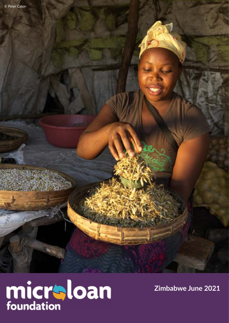å



**Zimbabwe June 2021**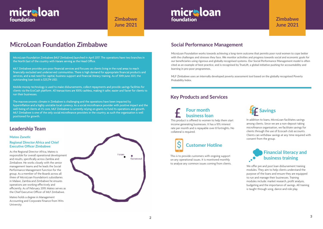## **MicroLoan Foundation Zimbabwe**

### **Leadership Team**

#### **Mateo Zanetic**

#### **Regional Director Africa and Chief Executive Officer Zimbabwe**

As the Regional Director Africa, Mateo is responsible for overall operational development and results, specifically across Zambia and Zimbabwe. He works closely with the senior management teams and he leads the Social Performance Management function for the group. As a member of the Boards across all three of MicroLoan Foundation's subsidiaries in Malawi, Zambia and Zimbabwe he ensures operations are working effectively and efficiently. As of February 2019, Mateo serves as the Chief Executive Officer of MLF Zimbabwe.

Mateo holds a degree in Management Accounting and Corporate Finance from Wits University.



MicroLoan Foundation works towards achieving a long-term outcome that permits poor rural women to cope better with the challenges and stresses they face. We monitor activities and progress towards social and economic goals for our beneficiaries using rigorous and globally recognised systems. Our Social Performance Management model is often cited as an example of best practice, and is recognised by TrueLift, a global initiative pushing for accountability and learning in pro-poor programmes.

MLF Zimbabwe uses an internally developed poverty assessment tool based on the globally recognised Poverty Probability Index.

### **Social Performance Management**

# micraloan foundation

**Zimbabwe June 2021**

# micraloan foundation

MicroLoan Foundation Zimbabwe (MLF Zimbabwe) launched in April 2017. The operations have two branches in the North East of the country with Harare serving as the Head Office.

MLF Zimbabwe provides pro-poor financial services and focuses on clients living in the rural areas to reach financially excluded and underserved communities. There is high demand for appropriate financial products and services, and a real need for capital, business support and financial literacy training. As of 30th June 2021, the outstanding loan book is \$25,174 USD.

Mobile money technology is used to make disbursements, collect repayments and provide savings facilities for clients via the EcoCash platform. All transactions are 100% cashless, making it safer, easier and faster for clients to run their businesses.

The macroeconomic climate in Zimbabwe is challenging and the operations have been impacted by hyperinflation and a highly unstable local currency. As a social microfinance provider with positive impact and the well-being of clients at it's core, MLF Zimbabwe is currently relying on grants to fund its operations and growth. MLF Zimbabwe is one of the only social microfinance providers in the country, as such the organisation is well positioned for growth.

#### **Key Products and Services**



This is to provide customers with ongoing support on any operational issues. It is monitored monthly to analyse any common issues coming from clients.

### **Financial literacy and business training**

We offer pre and post loan disbursement training modules. They aim to help clients understand the purpose of the loans and ensure they are equipped to run and manage their businesses. Training modules include: market research, profit analysis, budgeting and the importance of savings. All training is taught through song, dance and role play.

This product is offered to women to help them start income generating businesses. It has a 10% interest rate per month and is repayable over 8 fortnights. No collateral is required.

### **Four month business loan**



In addition to loans, MicroLoan facilitates savings among clients. Since we are a non-deposit taking microfinance organisation, we facilitate savings for clients through the use of Ecocash club accounts. Clients can withdraw savings at any time required with consent from the group.

### **Zimbabwe June 2021**